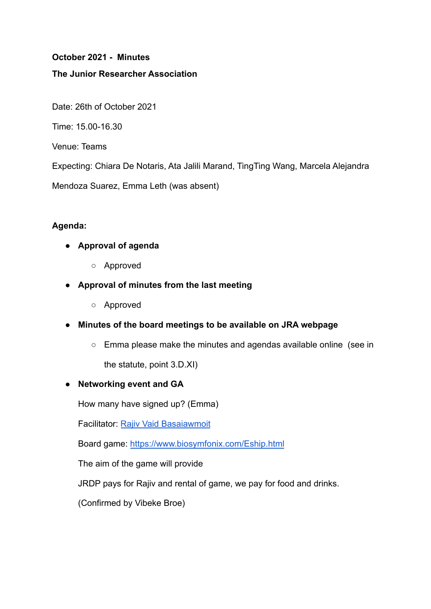## **October 2021 - Minutes**

#### **The Junior Researcher Association**

Date: 26th of October 2021

Time: 15.00-16.30

Venue: Teams

Expecting: Chiara De Notaris, Ata Jalili Marand, TingTing Wang, Marcela Alejandra

Mendoza Suarez, Emma Leth (was absent)

## **Agenda:**

- **● Approval of agenda**
	- Approved
- **● Approval of minutes from the last meeting**
	- Approved
- **● Minutes of the board meetings to be available on JRA webpage**
	- Emma please make the minutes and agendas available online (see in

the statute, point 3.D.XI)

## **● Networking event and GA**

How many have signed up? (Emma)

Facilitator: [Rajiv Vaid Basaiawmoit](https://pure.au.dk/portal/da/persons/rajiv-vaid-basaiawmoit(a622d8a9-63fd-48df-8589-819530a54168).html)

Board game: <https://www.biosymfonix.com/Eship.html>

The aim of the game will provide

JRDP pays for Rajiv and rental of game, we pay for food and drinks.

(Confirmed by Vibeke Broe)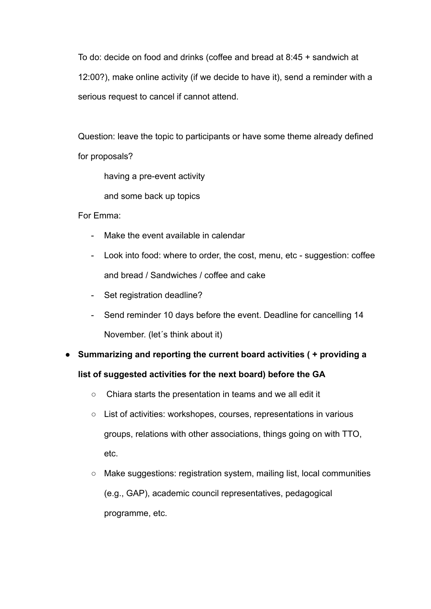To do: decide on food and drinks (coffee and bread at 8:45 + sandwich at 12:00?), make online activity (if we decide to have it), send a reminder with a serious request to cancel if cannot attend.

Question: leave the topic to participants or have some theme already defined for proposals?

having a pre-event activity

and some back up topics

For Emma:

- Make the event available in calendar
- Look into food: where to order, the cost, menu, etc suggestion: coffee and bread / Sandwiches / coffee and cake
- Set registration deadline?
- Send reminder 10 days before the event. Deadline for cancelling 14 November. (let´s think about it)
- **● Summarizing and reporting the current board activities ( + providing a list of suggested activities for the next board) before the GA**
	- Chiara starts the presentation in teams and we all edit it
	- List of activities: workshopes, courses, representations in various groups, relations with other associations, things going on with TTO, etc.
	- Make suggestions: registration system, mailing list, local communities (e.g., GAP), academic council representatives, pedagogical programme, etc.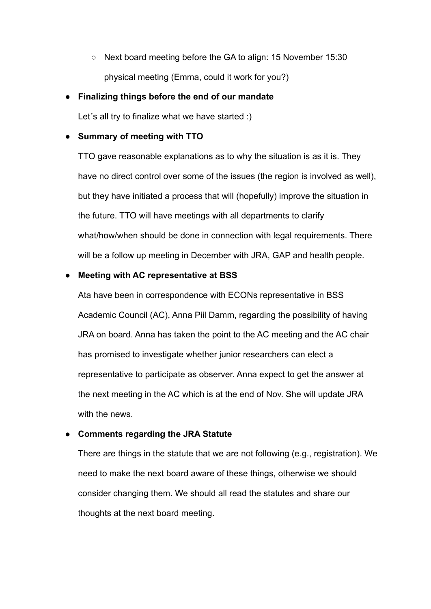○ Next board meeting before the GA to align: 15 November 15:30 physical meeting (Emma, could it work for you?)

## **● Finalizing things before the end of our mandate**

Let's all try to finalize what we have started :)

## **● Summary of meeting with TTO**

TTO gave reasonable explanations as to why the situation is as it is. They have no direct control over some of the issues (the region is involved as well), but they have initiated a process that will (hopefully) improve the situation in the future. TTO will have meetings with all departments to clarify what/how/when should be done in connection with legal requirements. There will be a follow up meeting in December with JRA, GAP and health people.

## **● Meeting with AC representative at BSS**

Ata have been in correspondence with ECONs representative in BSS Academic Council (AC), Anna Piil Damm, regarding the possibility of having JRA on board. Anna has taken the point to the AC meeting and the AC chair has promised to investigate whether junior researchers can elect a representative to participate as observer. Anna expect to get the answer at the next meeting in the AC which is at the end of Nov. She will update JRA with the news.

## **● Comments regarding the JRA Statute**

There are things in the statute that we are not following (e.g., registration). We need to make the next board aware of these things, otherwise we should consider changing them. We should all read the statutes and share our thoughts at the next board meeting.